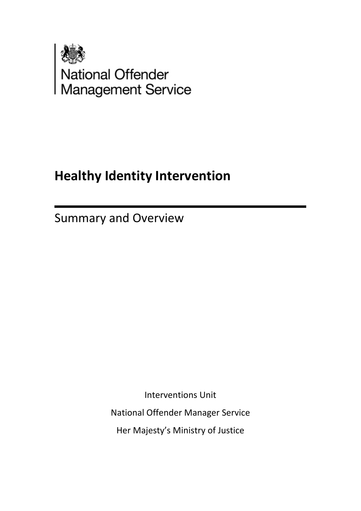

# **Healthy Identity Intervention**

Summary and Overview

Interventions Unit

National Offender Manager Service

Her Majesty's Ministry of Justice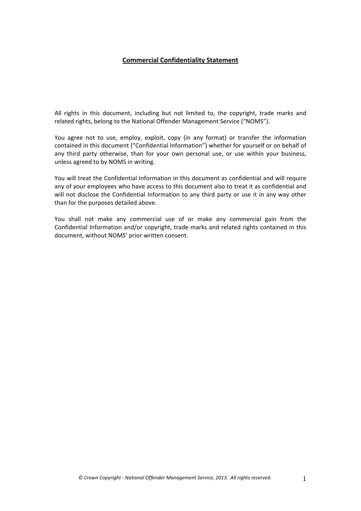# **Commercial Confidentiality Statement**

All rights in this document, including but not limited to, the copyright, trade marks and related rights, belong to the National Offender Management Service ("NOMS").

You agree not to use, employ, exploit, copy (in any format) or transfer the information contained in this document ("Confidential Information") whether for yourself or on behalf of any third party otherwise, than for your own personal use, or use within your business, unless agreed to by NOMS in writing.

You will treat the Confidential Information in this document as confidential and will require any of your employees who have access to this document also to treat it as confidential and will not disclose the Confidential Information to any third party or use it in any way other than for the purposes detailed above.

You shall not make any commercial use of or make any commercial gain from the Confidential Information and/or copyright, trade marks and related rights contained in this document, without NOMS' prior written consent.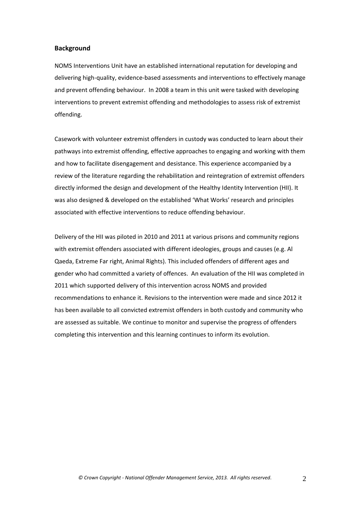### **Background**

NOMS Interventions Unit have an established international reputation for developing and delivering high‐quality, evidence‐based assessments and interventions to effectively manage and prevent offending behaviour. In 2008 a team in this unit were tasked with developing interventions to prevent extremist offending and methodologies to assess risk of extremist offending.

Casework with volunteer extremist offenders in custody was conducted to learn about their pathways into extremist offending, effective approaches to engaging and working with them and how to facilitate disengagement and desistance. This experience accompanied by a review of the literature regarding the rehabilitation and reintegration of extremist offenders directly informed the design and development of the Healthy Identity Intervention (HII). It was also designed & developed on the established 'What Works' research and principles associated with effective interventions to reduce offending behaviour.

Delivery of the HII was piloted in 2010 and 2011 at various prisons and community regions with extremist offenders associated with different ideologies, groups and causes (e.g. Al Qaeda, Extreme Far right, Animal Rights). This included offenders of different ages and gender who had committed a variety of offences. An evaluation of the HII was completed in 2011 which supported delivery of this intervention across NOMS and provided recommendations to enhance it. Revisions to the intervention were made and since 2012 it has been available to all convicted extremist offenders in both custody and community who are assessed as suitable. We continue to monitor and supervise the progress of offenders completing this intervention and this learning continues to inform its evolution.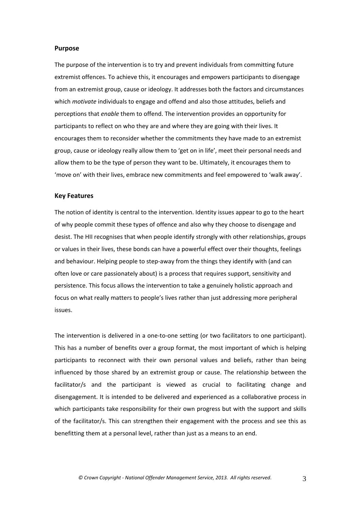#### **Purpose**

The purpose of the intervention is to try and prevent individuals from committing future extremist offences. To achieve this, it encourages and empowers participants to disengage from an extremist group, cause or ideology. It addresses both the factors and circumstances which *motivate* individuals to engage and offend and also those attitudes, beliefs and perceptions that *enable* them to offend. The intervention provides an opportunity for participants to reflect on who they are and where they are going with their lives. It encourages them to reconsider whether the commitments they have made to an extremist group, cause or ideology really allow them to 'get on in life', meet their personal needs and allow them to be the type of person they want to be. Ultimately, it encourages them to 'move on' with their lives, embrace new commitments and feel empowered to 'walk away'.

#### **Key Features**

The notion of identity is central to the intervention. Identity issues appear to go to the heart of why people commit these types of offence and also why they choose to disengage and desist. The HII recognises that when people identify strongly with other relationships, groups or values in their lives, these bonds can have a powerful effect over their thoughts, feelings and behaviour. Helping people to step‐away from the things they identify with (and can often love or care passionately about) is a process that requires support, sensitivity and persistence. This focus allows the intervention to take a genuinely holistic approach and focus on what really matters to people's lives rather than just addressing more peripheral issues.

The intervention is delivered in a one-to-one setting (or two facilitators to one participant). This has a number of benefits over a group format, the most important of which is helping participants to reconnect with their own personal values and beliefs, rather than being influenced by those shared by an extremist group or cause. The relationship between the facilitator/s and the participant is viewed as crucial to facilitating change and disengagement. It is intended to be delivered and experienced as a collaborative process in which participants take responsibility for their own progress but with the support and skills of the facilitator/s. This can strengthen their engagement with the process and see this as benefitting them at a personal level, rather than just as a means to an end.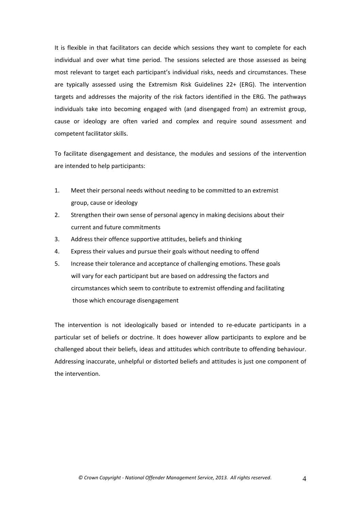It is flexible in that facilitators can decide which sessions they want to complete for each individual and over what time period. The sessions selected are those assessed as being most relevant to target each participant's individual risks, needs and circumstances. These are typically assessed using the Extremism Risk Guidelines 22+ (ERG). The intervention targets and addresses the majority of the risk factors identified in the ERG. The pathways individuals take into becoming engaged with (and disengaged from) an extremist group, cause or ideology are often varied and complex and require sound assessment and competent facilitator skills.

To facilitate disengagement and desistance, the modules and sessions of the intervention are intended to help participants:

- 1. Meet their personal needs without needing to be committed to an extremist group, cause or ideology
- 2. Strengthen their own sense of personal agency in making decisions about their current and future commitments
- 3. Address their offence supportive attitudes, beliefs and thinking
- 4. Express their values and pursue their goals without needing to offend
- 5. Increase their tolerance and acceptance of challenging emotions. These goals will vary for each participant but are based on addressing the factors and circumstances which seem to contribute to extremist offending and facilitating those which encourage disengagement

The intervention is not ideologically based or intended to re-educate participants in a particular set of beliefs or doctrine. It does however allow participants to explore and be challenged about their beliefs, ideas and attitudes which contribute to offending behaviour. Addressing inaccurate, unhelpful or distorted beliefs and attitudes is just one component of the intervention.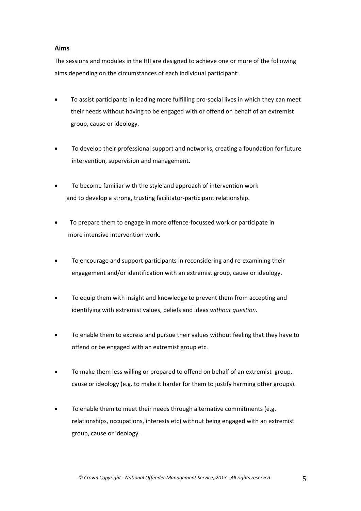# **Aims**

The sessions and modules in the HII are designed to achieve one or more of the following aims depending on the circumstances of each individual participant:

- To assist participants in leading more fulfilling pro‐social lives in which they can meet their needs without having to be engaged with or offend on behalf of an extremist group, cause or ideology.
- To develop their professional support and networks, creating a foundation for future intervention, supervision and management.
- To become familiar with the style and approach of intervention work and to develop a strong, trusting facilitator‐participant relationship.
- To prepare them to engage in more offence‐focussed work or participate in more intensive intervention work.
- To encourage and support participants in reconsidering and re‐examining their engagement and/or identification with an extremist group, cause or ideology.
- To equip them with insight and knowledge to prevent them from accepting and identifying with extremist values, beliefs and ideas *without question*.
- To enable them to express and pursue their values without feeling that they have to offend or be engaged with an extremist group etc.
- To make them less willing or prepared to offend on behalf of an extremist group, cause or ideology (e.g. to make it harder for them to justify harming other groups).
- To enable them to meet their needs through alternative commitments (e.g. relationships, occupations, interests etc) without being engaged with an extremist group, cause or ideology.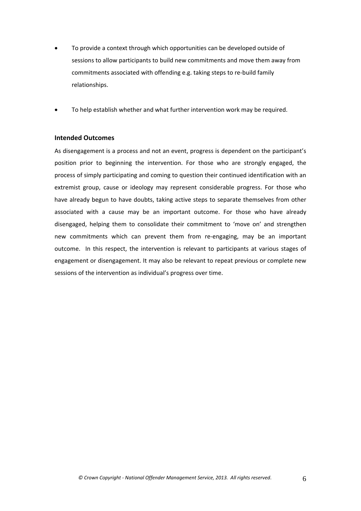- To provide a context through which opportunities can be developed outside of sessions to allow participants to build new commitments and move them away from commitments associated with offending e.g. taking steps to re‐build family relationships.
- To help establish whether and what further intervention work may be required.

## **Intended Outcomes**

As disengagement is a process and not an event, progress is dependent on the participant's position prior to beginning the intervention. For those who are strongly engaged, the process of simply participating and coming to question their continued identification with an extremist group, cause or ideology may represent considerable progress. For those who have already begun to have doubts, taking active steps to separate themselves from other associated with a cause may be an important outcome. For those who have already disengaged, helping them to consolidate their commitment to 'move on' and strengthen new commitments which can prevent them from re-engaging, may be an important outcome. In this respect, the intervention is relevant to participants at various stages of engagement or disengagement. It may also be relevant to repeat previous or complete new sessions of the intervention as individual's progress over time.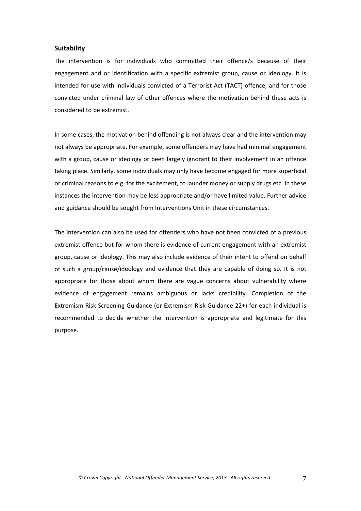### **Suitability**

The intervention is for individuals who committed their offence/s because of their engagement and or identification with a specific extremist group, cause or ideology. It is intended for use with individuals convicted of a Terrorist Act (TACT) offence, and for those convicted under criminal law of other offences where the motivation behind these acts is considered to be extremist.

In some cases, the motivation behind offending is not always clear and the intervention may not always be appropriate. For example, some offenders may have had minimal engagement with a group, cause or ideology or been largely ignorant to their involvement in an offence taking place. Similarly, some individuals may only have become engaged for more superficial or criminal reasons to e.g. for the excitement, to launder money or supply drugs etc. In these instances the intervention may be less appropriate and/or have limited value. Further advice and guidance should be sought from Interventions Unit in these circumstances.

The intervention can also be used for offenders who have not been convicted of a previous extremist offence but for whom there is evidence of current engagement with an extremist group, cause or ideology. This may also include evidence of their intent to offend on behalf of such a group/cause/ideology and evidence that they are capable of doing so. It is not appropriate for those about whom there are vague concerns about vulnerability where evidence of engagement remains ambiguous or lacks credibility. Completion of the Extremism Risk Screening Guidance (or Extremism Risk Guidance 22+) for each individual is recommended to decide whether the intervention is appropriate and legitimate for this purpose.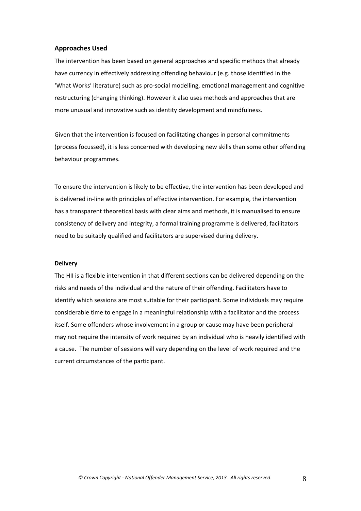### **Approaches Used**

The intervention has been based on general approaches and specific methods that already have currency in effectively addressing offending behaviour (e.g. those identified in the 'What Works' literature) such as pro‐social modelling, emotional management and cognitive restructuring (changing thinking). However it also uses methods and approaches that are more unusual and innovative such as identity development and mindfulness.

Given that the intervention is focused on facilitating changes in personal commitments (process focussed), it is less concerned with developing new skills than some other offending behaviour programmes.

To ensure the intervention is likely to be effective, the intervention has been developed and is delivered in‐line with principles of effective intervention. For example, the intervention has a transparent theoretical basis with clear aims and methods, it is manualised to ensure consistency of delivery and integrity, a formal training programme is delivered, facilitators need to be suitably qualified and facilitators are supervised during delivery.

#### **Delivery**

The HII is a flexible intervention in that different sections can be delivered depending on the risks and needs of the individual and the nature of their offending. Facilitators have to identify which sessions are most suitable for their participant. Some individuals may require considerable time to engage in a meaningful relationship with a facilitator and the process itself. Some offenders whose involvement in a group or cause may have been peripheral may not require the intensity of work required by an individual who is heavily identified with a cause. The number of sessions will vary depending on the level of work required and the current circumstances of the participant.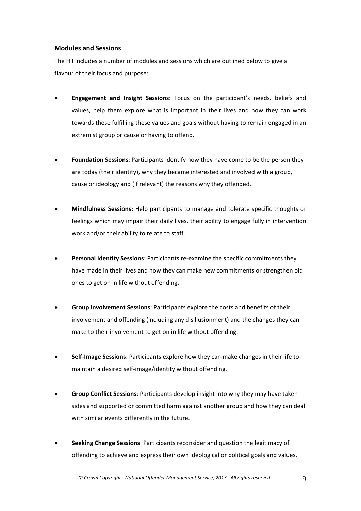## **Modules and Sessions**

The HII includes a number of modules and sessions which are outlined below to give a flavour of their focus and purpose:

- **Engagement and Insight Sessions**: Focus on the participant's needs, beliefs and values, help them explore what is important in their lives and how they can work towards these fulfilling these values and goals without having to remain engaged in an extremist group or cause or having to offend.
- **Foundation Sessions**: Participants identify how they have come to be the person they are today (their identity), why they became interested and involved with a group, cause or ideology and (if relevant) the reasons why they offended.
- **Mindfulness Sessions:** Help participants to manage and tolerate specific thoughts or feelings which may impair their daily lives, their ability to engage fully in intervention work and/or their ability to relate to staff.
- **Personal Identity Sessions**: Participants re‐examine the specific commitments they have made in their lives and how they can make new commitments or strengthen old ones to get on in life without offending.
- **Group Involvement Sessions**: Participants explore the costs and benefits of their involvement and offending (including any disillusionment) and the changes they can make to their involvement to get on in life without offending.
- **Self‐Image Sessions**: Participants explore how they can make changes in their life to maintain a desired self‐image/identity without offending.
- **Group Conflict Sessions**: Participants develop insight into why they may have taken sides and supported or committed harm against another group and how they can deal with similar events differently in the future.
- **Seeking Change Sessions**: Participants reconsider and question the legitimacy of offending to achieve and express their own ideological or political goals and values.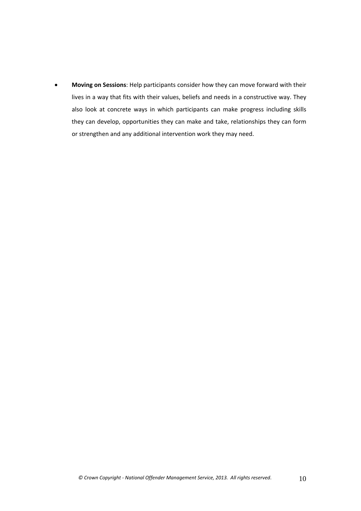**Moving on Sessions**: Help participants consider how they can move forward with their lives in a way that fits with their values, beliefs and needs in a constructive way. They also look at concrete ways in which participants can make progress including skills they can develop, opportunities they can make and take, relationships they can form or strengthen and any additional intervention work they may need.